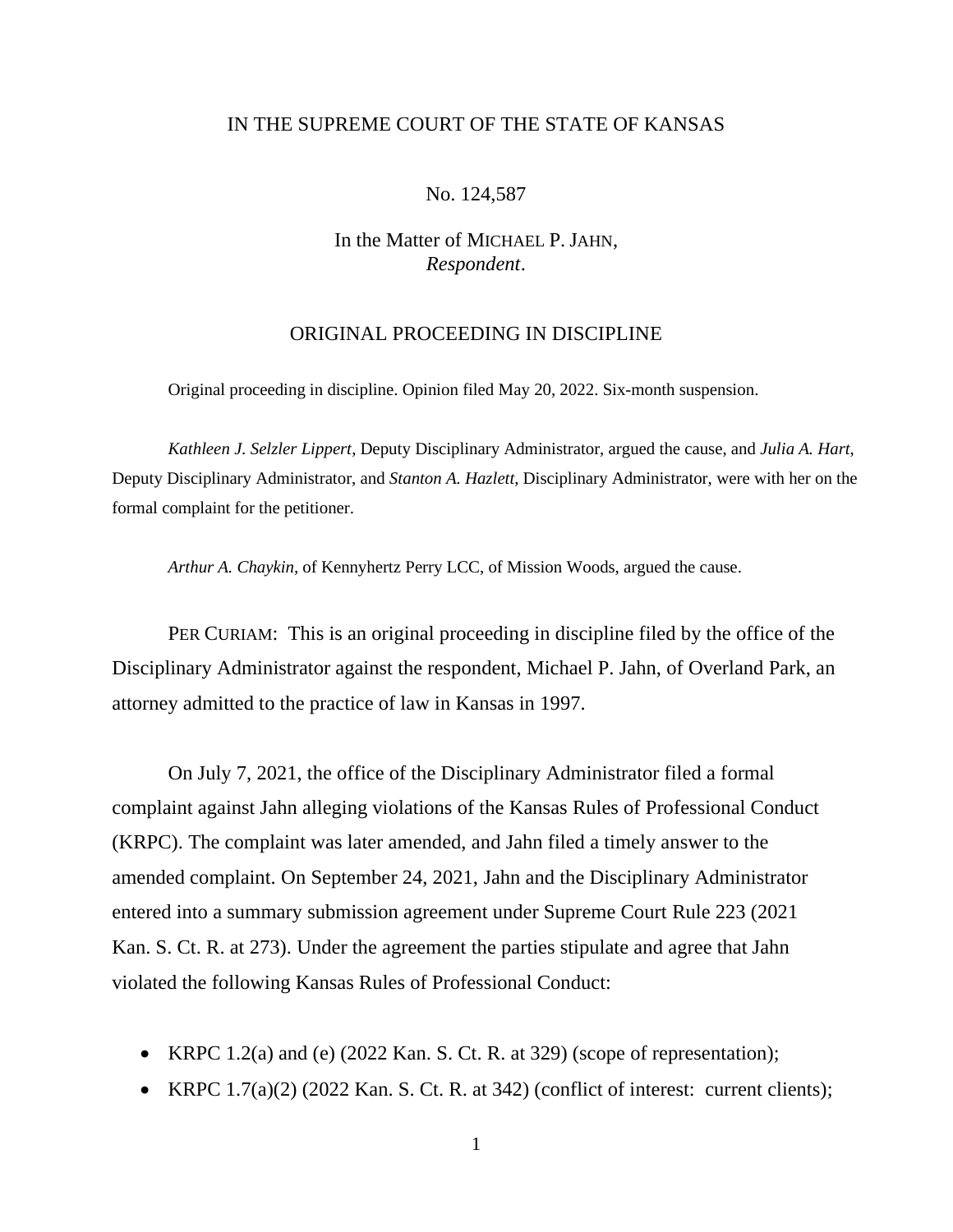# IN THE SUPREME COURT OF THE STATE OF KANSAS

### No. 124,587

# In the Matter of MICHAEL P. JAHN, *Respondent*.

# ORIGINAL PROCEEDING IN DISCIPLINE

Original proceeding in discipline. Opinion filed May 20, 2022. Six-month suspension.

*Kathleen J. Selzler Lippert*, Deputy Disciplinary Administrator, argued the cause, and *Julia A. Hart*, Deputy Disciplinary Administrator, and *Stanton A. Hazlett*, Disciplinary Administrator, were with her on the formal complaint for the petitioner.

*Arthur A. Chaykin,* of Kennyhertz Perry LCC, of Mission Woods, argued the cause.

PER CURIAM: This is an original proceeding in discipline filed by the office of the Disciplinary Administrator against the respondent, Michael P. Jahn, of Overland Park, an attorney admitted to the practice of law in Kansas in 1997.

On July 7, 2021, the office of the Disciplinary Administrator filed a formal complaint against Jahn alleging violations of the Kansas Rules of Professional Conduct (KRPC). The complaint was later amended, and Jahn filed a timely answer to the amended complaint. On September 24, 2021, Jahn and the Disciplinary Administrator entered into a summary submission agreement under Supreme Court Rule 223 (2021 Kan. S. Ct. R. at 273). Under the agreement the parties stipulate and agree that Jahn violated the following Kansas Rules of Professional Conduct:

- KRPC 1.2(a) and (e) (2022 Kan. S. Ct. R. at 329) (scope of representation);
- KRPC  $1.7(a)(2)$  (2022 Kan. S. Ct. R. at 342) (conflict of interest: current clients);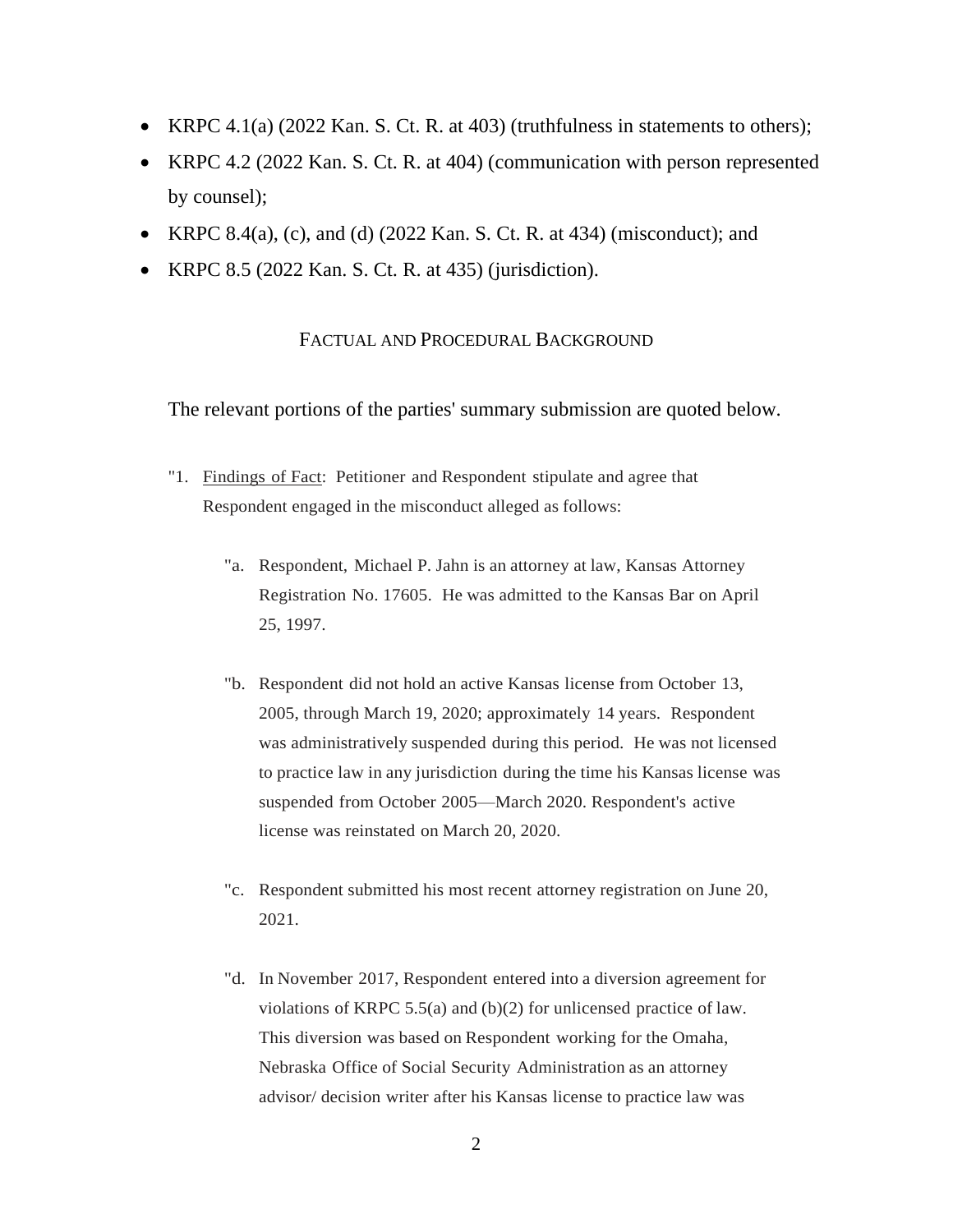- KRPC 4.1(a) (2022 Kan. S. Ct. R. at 403) (truthfulness in statements to others);
- KRPC 4.2 (2022 Kan. S. Ct. R. at 404) (communication with person represented by counsel);
- KRPC 8.4(a), (c), and (d) (2022 Kan. S. Ct. R. at 434) (misconduct); and
- KRPC 8.5 (2022 Kan. S. Ct. R. at 435) (jurisdiction).

# FACTUAL AND PROCEDURAL BACKGROUND

The relevant portions of the parties' summary submission are quoted below.

- "1. Findings of Fact: Petitioner and Respondent stipulate and agree that Respondent engaged in the misconduct alleged as follows:
	- "a. Respondent, Michael P. Jahn is an attorney at law, Kansas Attorney Registration No. 17605. He was admitted to the Kansas Bar on April 25, 1997.
	- "b. Respondent did not hold an active Kansas license from October 13, 2005, through March 19, 2020; approximately 14 years. Respondent was administratively suspended during this period. He was not licensed to practice law in any jurisdiction during the time his Kansas license was suspended from October 2005—March 2020. Respondent's active license was reinstated on March 20, 2020.
	- "c. Respondent submitted his most recent attorney registration on June 20, 2021.
	- "d. In November 2017, Respondent entered into a diversion agreement for violations of KRPC 5.5(a) and (b)(2) for unlicensed practice of law. This diversion was based on Respondent working for the Omaha, Nebraska Office of Social Security Administration as an attorney advisor/ decision writer after his Kansas license to practice law was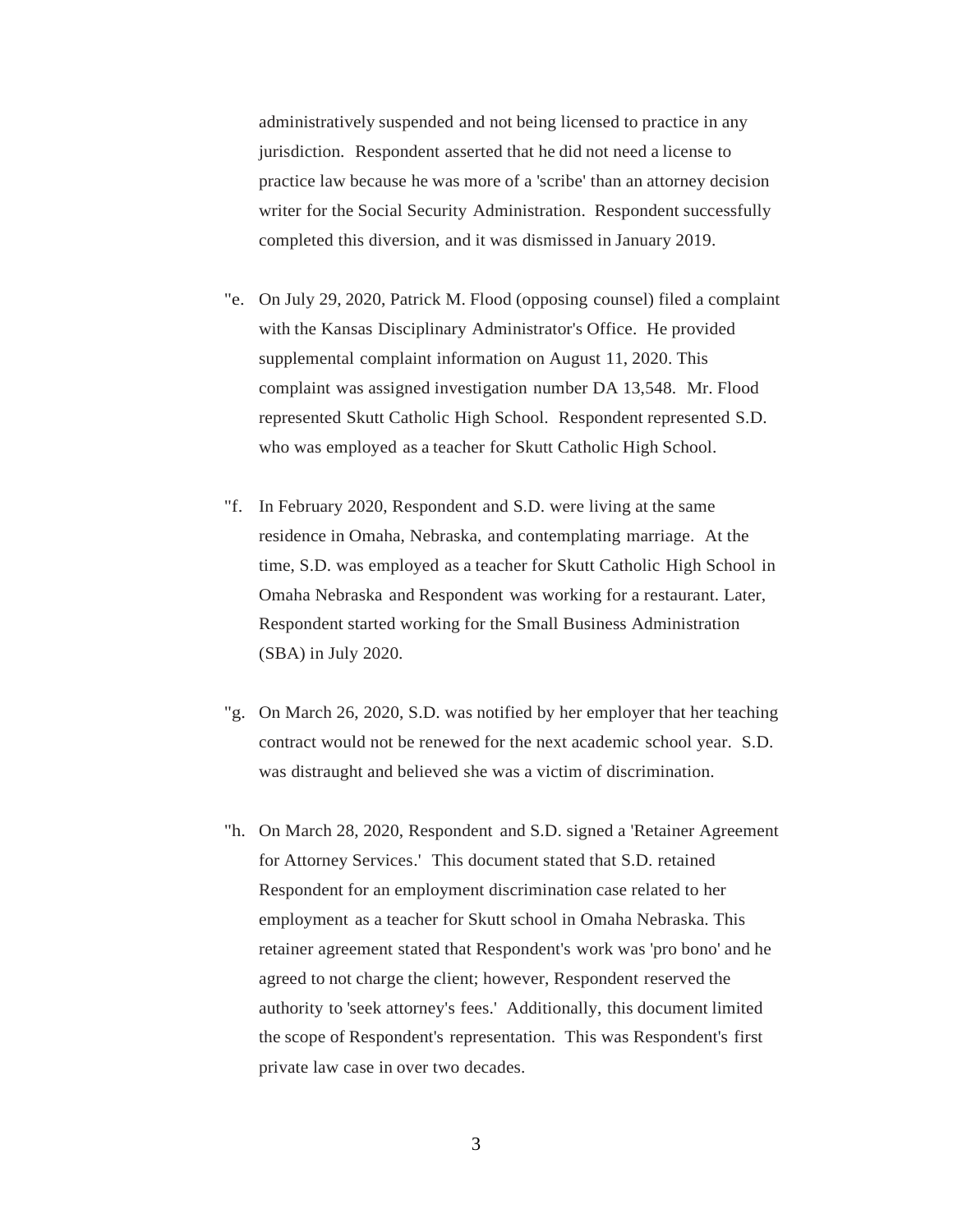administratively suspended and not being licensed to practice in any jurisdiction. Respondent asserted that he did not need a license to practice law because he was more of a 'scribe' than an attorney decision writer for the Social Security Administration. Respondent successfully completed this diversion, and it was dismissed in January 2019.

- "e. On July 29, 2020, Patrick M. Flood (opposing counsel) filed a complaint with the Kansas Disciplinary Administrator's Office. He provided supplemental complaint information on August 11, 2020. This complaint was assigned investigation number DA 13,548. Mr. Flood represented Skutt Catholic High School. Respondent represented S.D. who was employed as a teacher for Skutt Catholic High School.
- "f. In February 2020, Respondent and S.D. were living at the same residence in Omaha, Nebraska, and contemplating marriage. At the time, S.D. was employed as a teacher for Skutt Catholic High School in Omaha Nebraska and Respondent was working for a restaurant. Later, Respondent started working for the Small Business Administration (SBA) in July 2020.
- "g. On March 26, 2020, S.D. was notified by her employer that her teaching contract would not be renewed for the next academic school year. S.D. was distraught and believed she was a victim of discrimination.
- "h. On March 28, 2020, Respondent and S.D. signed a 'Retainer Agreement for Attorney Services.' This document stated that S.D. retained Respondent for an employment discrimination case related to her employment as a teacher for Skutt school in Omaha Nebraska. This retainer agreement stated that Respondent's work was 'pro bono' and he agreed to not charge the client; however, Respondent reserved the authority to 'seek attorney's fees.' Additionally, this document limited the scope of Respondent's representation. This was Respondent's first private law case in over two decades.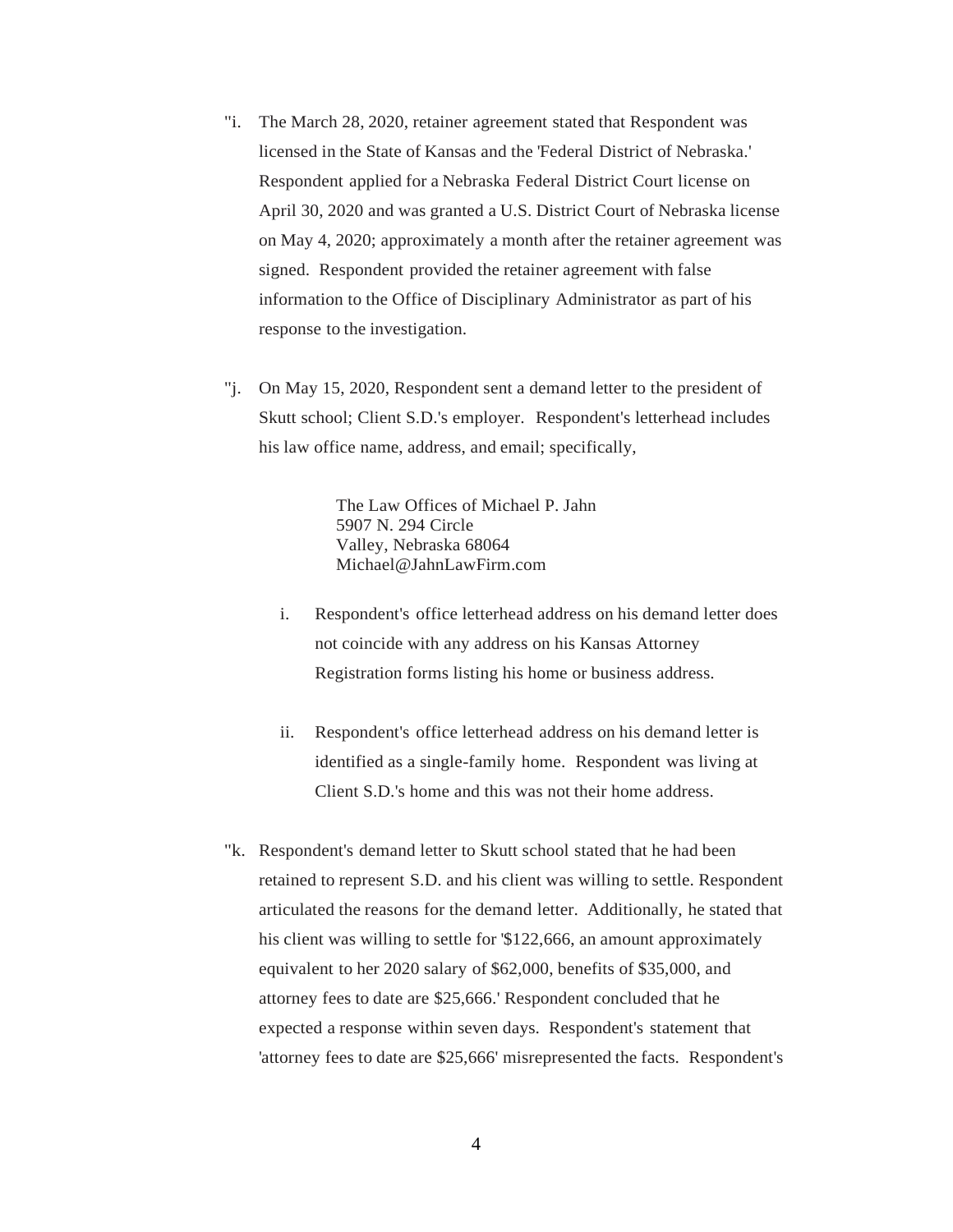- "i. The March 28, 2020, retainer agreement stated that Respondent was licensed in the State of Kansas and the 'Federal District of Nebraska.' Respondent applied for a Nebraska Federal District Court license on April 30, 2020 and was granted a U.S. District Court of Nebraska license on May 4, 2020; approximately a month after the retainer agreement was signed. Respondent provided the retainer agreement with false information to the Office of Disciplinary Administrator as part of his response to the investigation.
- "j. On May 15, 2020, Respondent sent a demand letter to the president of Skutt school; Client S.D.'s employer. Respondent's letterhead includes his law office name, address, and email; specifically,

The Law Offices of Michael P. Jahn 5907 N. 294 Circle Valley, Nebraska 68064 Michael@JahnLawFirm.com

- i. Respondent's office letterhead address on his demand letter does not coincide with any address on his Kansas Attorney Registration forms listing his home or business address.
- ii. Respondent's office letterhead address on his demand letter is identified as a single-family home. Respondent was living at Client S.D.'s home and this was not their home address.
- "k. Respondent's demand letter to Skutt school stated that he had been retained to represent S.D. and his client was willing to settle. Respondent articulated the reasons for the demand letter. Additionally, he stated that his client was willing to settle for \$122,666, an amount approximately equivalent to her 2020 salary of \$62,000, benefits of \$35,000, and attorney fees to date are \$25,666.' Respondent concluded that he expected a response within seven days. Respondent's statement that 'attorney fees to date are \$25,666' misrepresented the facts. Respondent's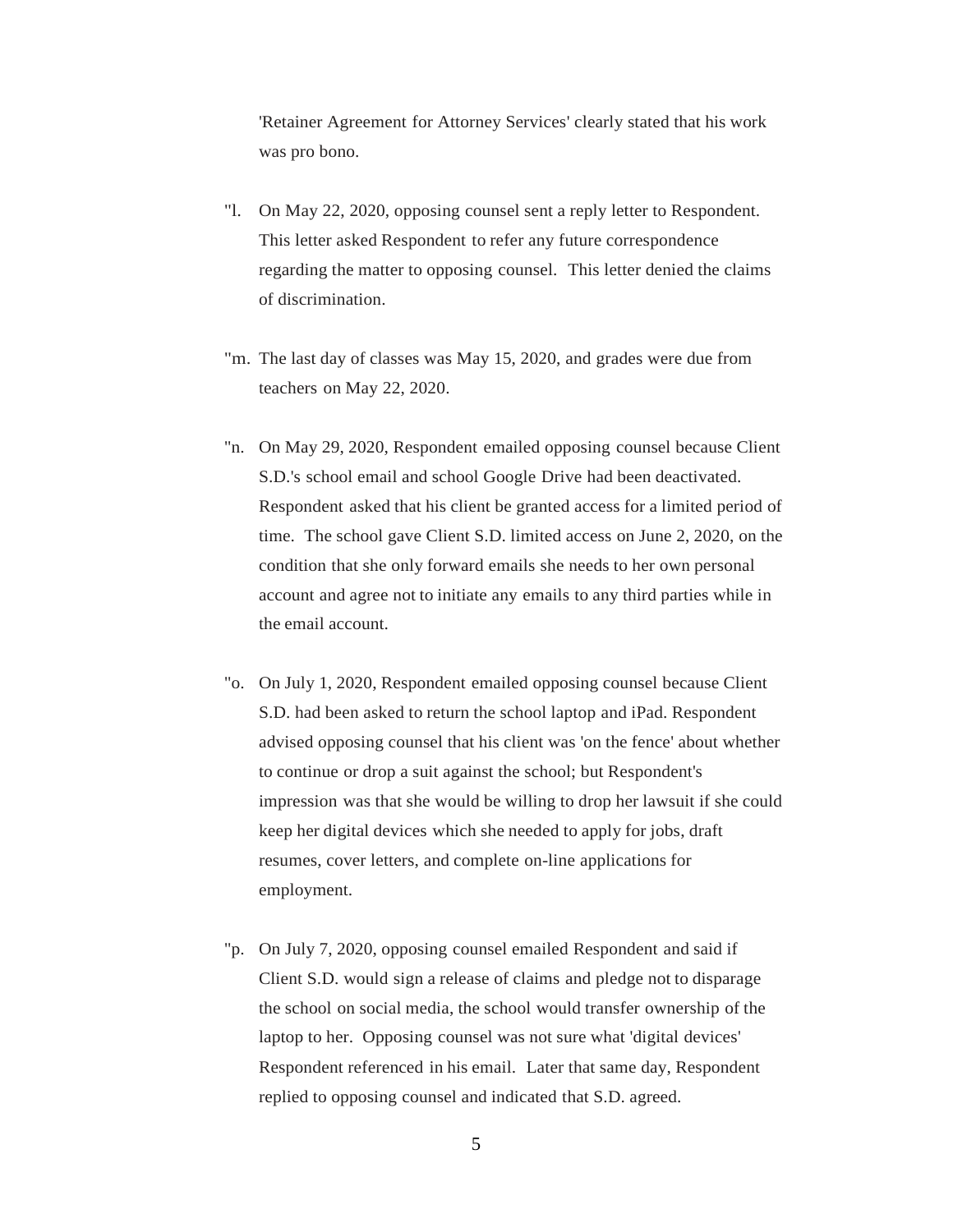'Retainer Agreement for Attorney Services' clearly stated that his work was pro bono.

- "l. On May 22, 2020, opposing counsel sent a reply letter to Respondent. This letter asked Respondent to refer any future correspondence regarding the matter to opposing counsel. This letter denied the claims of discrimination.
- "m. The last day of classes was May 15, 2020, and grades were due from teachers on May 22, 2020.
- "n. On May 29, 2020, Respondent emailed opposing counsel because Client S.D.'s school email and school Google Drive had been deactivated. Respondent asked that his client be granted access for a limited period of time. The school gave Client S.D. limited access on June 2, 2020, on the condition that she only forward emails she needs to her own personal account and agree not to initiate any emails to any third parties while in the email account.
- "o. On July 1, 2020, Respondent emailed opposing counsel because Client S.D. had been asked to return the school laptop and iPad. Respondent advised opposing counsel that his client was 'on the fence' about whether to continue or drop a suit against the school; but Respondent's impression was that she would be willing to drop her lawsuit if she could keep her digital devices which she needed to apply for jobs, draft resumes, cover letters, and complete on-line applications for employment.
- "p. On July 7, 2020, opposing counsel emailed Respondent and said if Client S.D. would sign a release of claims and pledge not to disparage the school on social media, the school would transfer ownership of the laptop to her. Opposing counsel was not sure what 'digital devices' Respondent referenced in his email. Later that same day, Respondent replied to opposing counsel and indicated that S.D. agreed.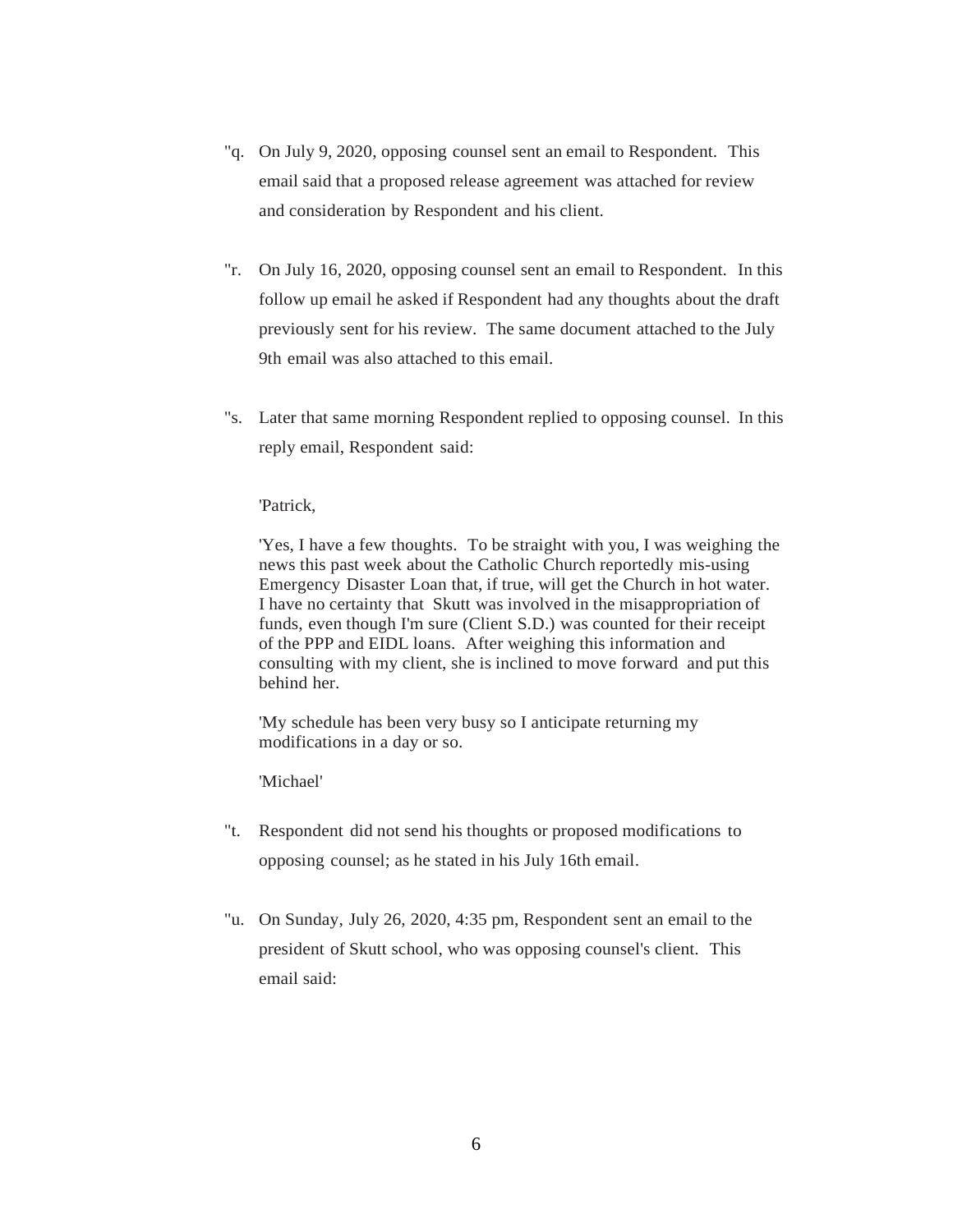- "q. On July 9, 2020, opposing counsel sent an email to Respondent. This email said that a proposed release agreement was attached for review and consideration by Respondent and his client.
- "r. On July 16, 2020, opposing counsel sent an email to Respondent. In this follow up email he asked if Respondent had any thoughts about the draft previously sent for his review. The same document attached to the July 9th email was also attached to this email.
- "s. Later that same morning Respondent replied to opposing counsel. In this reply email, Respondent said:

#### 'Patrick,

'Yes, I have a few thoughts. To be straight with you, I was weighing the news this past week about the Catholic Church reportedly mis-using Emergency Disaster Loan that, if true, will get the Church in hot water. I have no certainty that Skutt was involved in the misappropriation of funds, even though I'm sure (Client S.D.) was counted for their receipt of the PPP and EIDL loans. After weighing this information and consulting with my client, she is inclined to move forward and put this behind her.

'My schedule has been very busy so I anticipate returning my modifications in a day or so.

'Michael'

- "t. Respondent did not send his thoughts or proposed modifications to opposing counsel; as he stated in his July 16th email.
- "u. On Sunday, July 26, 2020, 4:35 pm, Respondent sent an email to the president of Skutt school, who was opposing counsel's client. This email said: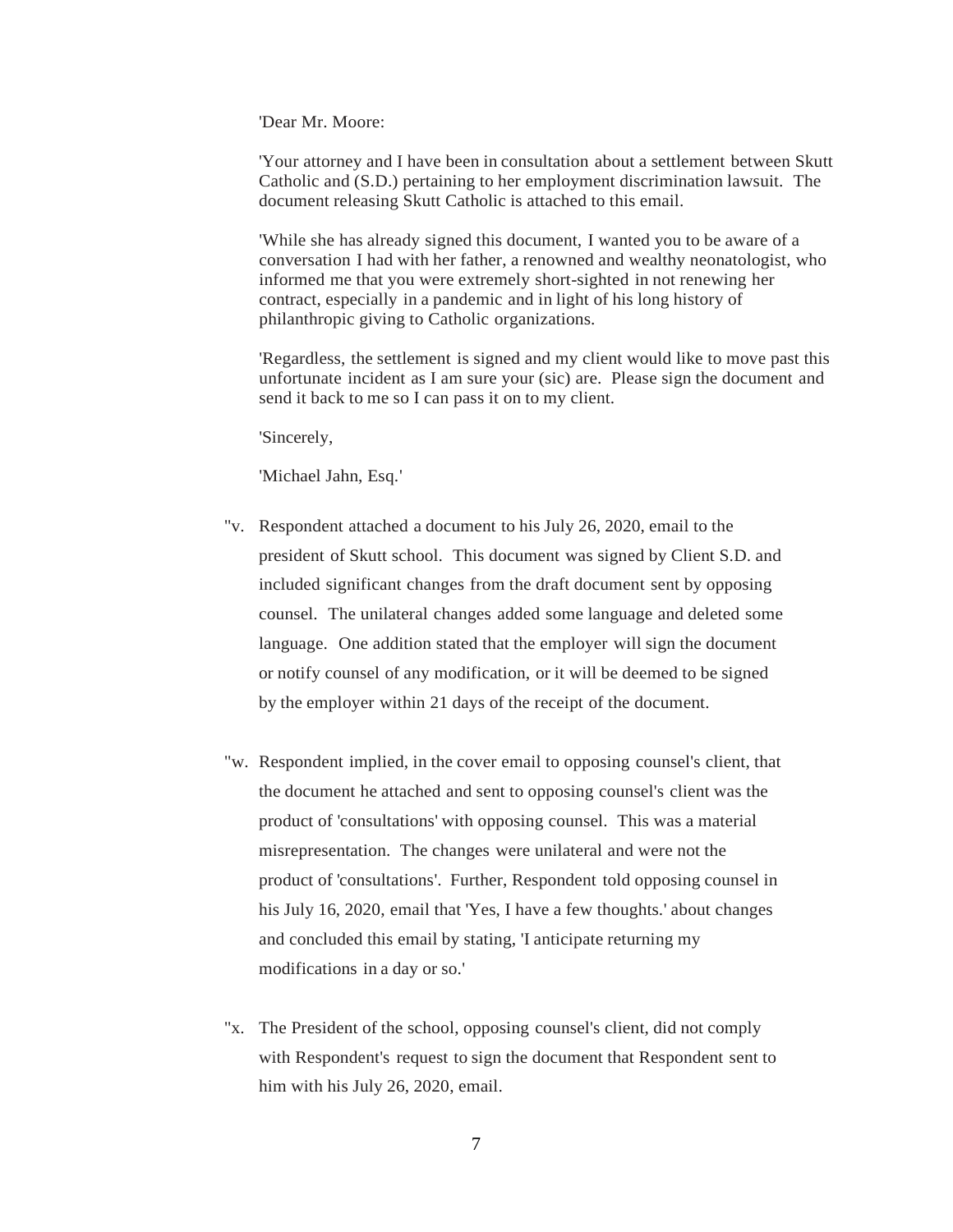'Dear Mr. Moore:

'Your attorney and I have been in consultation about a settlement between Skutt Catholic and (S.D.) pertaining to her employment discrimination lawsuit. The document releasing Skutt Catholic is attached to this email.

'While she has already signed this document, I wanted you to be aware of a conversation I had with her father, a renowned and wealthy neonatologist, who informed me that you were extremely short-sighted in not renewing her contract, especially in a pandemic and in light of his long history of philanthropic giving to Catholic organizations.

'Regardless, the settlement is signed and my client would like to move past this unfortunate incident as I am sure your (sic) are. Please sign the document and send it back to me so I can pass it on to my client.

'Sincerely,

'Michael Jahn, Esq.'

- "v. Respondent attached a document to his July 26, 2020, email to the president of Skutt school. This document was signed by Client S.D. and included significant changes from the draft document sent by opposing counsel. The unilateral changes added some language and deleted some language. One addition stated that the employer will sign the document or notify counsel of any modification, or it will be deemed to be signed by the employer within 21 days of the receipt of the document.
- "w. Respondent implied, in the cover email to opposing counsel's client, that the document he attached and sent to opposing counsel's client was the product of 'consultations' with opposing counsel. This was a material misrepresentation. The changes were unilateral and were not the product of 'consultations'. Further, Respondent told opposing counsel in his July 16, 2020, email that 'Yes, I have a few thoughts.' about changes and concluded this email by stating, 'I anticipate returning my modifications in a day or so.'
- "x. The President of the school, opposing counsel's client, did not comply with Respondent's request to sign the document that Respondent sent to him with his July 26, 2020, email.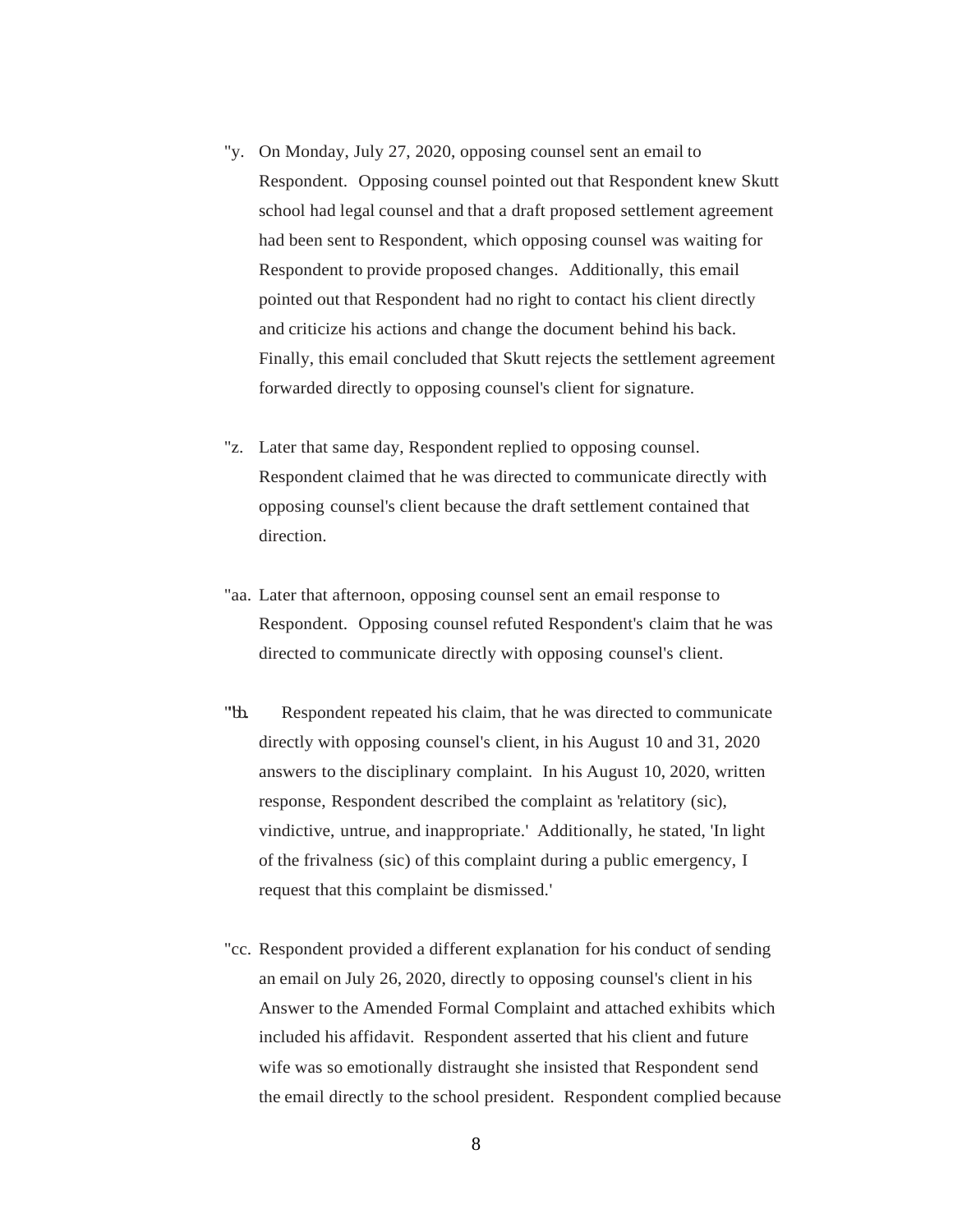- "y. On Monday, July 27, 2020, opposing counsel sent an email to Respondent. Opposing counsel pointed out that Respondent knew Skutt school had legal counsel and that a draft proposed settlement agreement had been sent to Respondent, which opposing counsel was waiting for Respondent to provide proposed changes. Additionally, this email pointed out that Respondent had no right to contact his client directly and criticize his actions and change the document behind his back. Finally, this email concluded that Skutt rejects the settlement agreement forwarded directly to opposing counsel's client for signature.
- "z. Later that same day, Respondent replied to opposing counsel. Respondent claimed that he was directed to communicate directly with opposing counsel's client because the draft settlement contained that direction.
- "aa. Later that afternoon, opposing counsel sent an email response to Respondent. Opposing counsel refuted Respondent's claim that he was directed to communicate directly with opposing counsel's client.
- "th. Respondent repeated his claim, that he was directed to communicate directly with opposing counsel's client, in his August 10 and 31, 2020 answers to the disciplinary complaint. In his August 10, 2020, written response, Respondent described the complaint as 'relatitory (sic), vindictive, untrue, and inappropriate.' Additionally, he stated, 'In light of the frivalness (sic) of this complaint during a public emergency, I request that this complaint be dismissed.'
- "cc. Respondent provided a different explanation for his conduct of sending an email on July 26, 2020, directly to opposing counsel's client in his Answer to the Amended Formal Complaint and attached exhibits which included his affidavit. Respondent asserted that his client and future wife was so emotionally distraught she insisted that Respondent send the email directly to the school president. Respondent complied because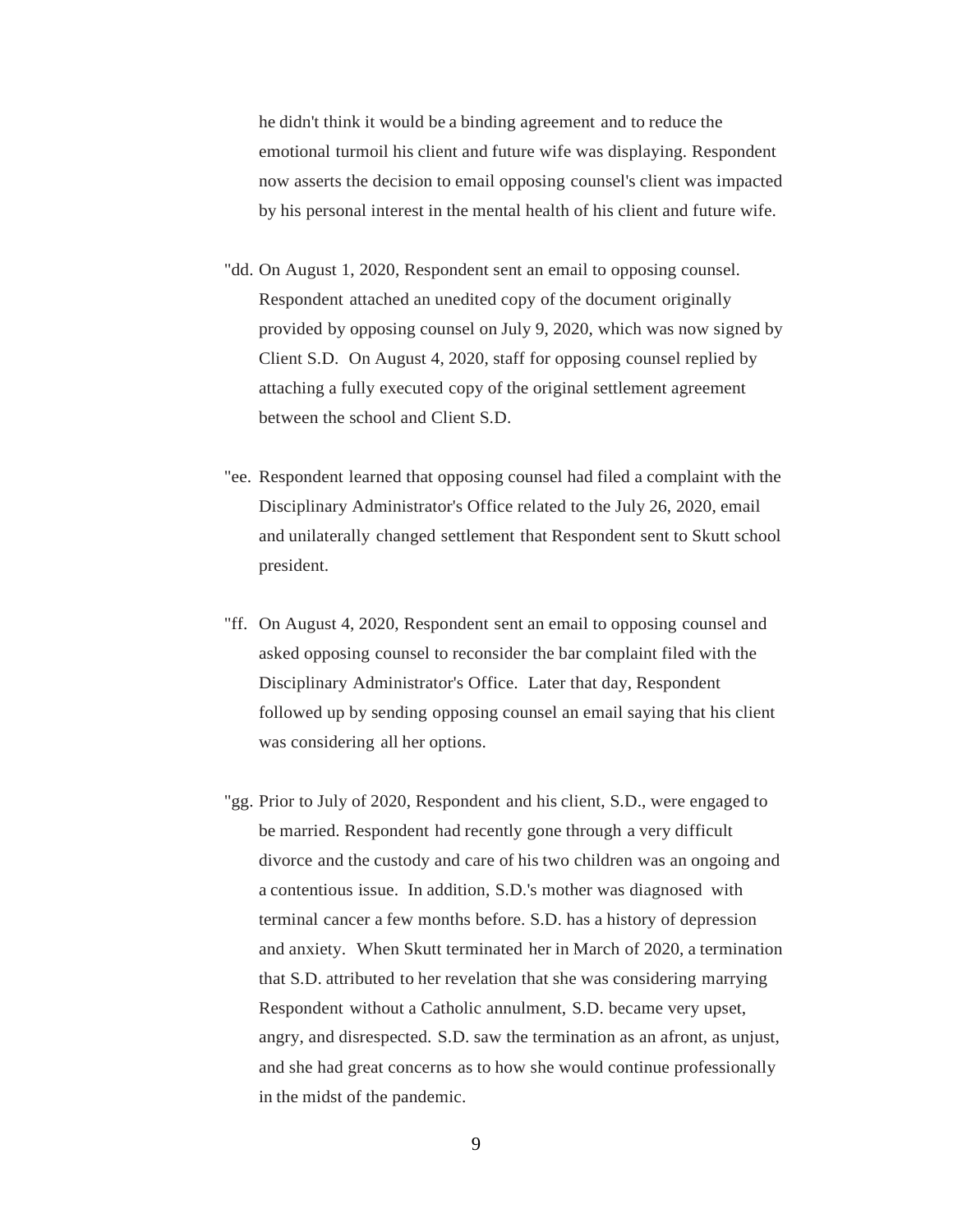he didn't think it would be a binding agreement and to reduce the emotional turmoil his client and future wife was displaying. Respondent now asserts the decision to email opposing counsel's client was impacted by his personal interest in the mental health of his client and future wife.

- "dd. On August 1, 2020, Respondent sent an email to opposing counsel. Respondent attached an unedited copy of the document originally provided by opposing counsel on July 9, 2020, which was now signed by Client S.D. On August 4, 2020, staff for opposing counsel replied by attaching a fully executed copy of the original settlement agreement between the school and Client S.D.
- "ee. Respondent learned that opposing counsel had filed a complaint with the Disciplinary Administrator's Office related to the July 26, 2020, email and unilaterally changed settlement that Respondent sent to Skutt school president.
- "ff. On August 4, 2020, Respondent sent an email to opposing counsel and asked opposing counsel to reconsider the bar complaint filed with the Disciplinary Administrator's Office. Later that day, Respondent followed up by sending opposing counsel an email saying that his client was considering all her options.
- "gg. Prior to July of 2020, Respondent and his client, S.D., were engaged to be married. Respondent had recently gone through a very difficult divorce and the custody and care of his two children was an ongoing and a contentious issue. In addition, S.D.'s mother was diagnosed with terminal cancer a few months before. S.D. has a history of depression and anxiety. When Skutt terminated her in March of 2020, a termination that S.D. attributed to her revelation that she was considering marrying Respondent without a Catholic annulment, S.D. became very upset, angry, and disrespected. S.D. saw the termination as an afront, as unjust, and she had great concerns as to how she would continue professionally in the midst of the pandemic.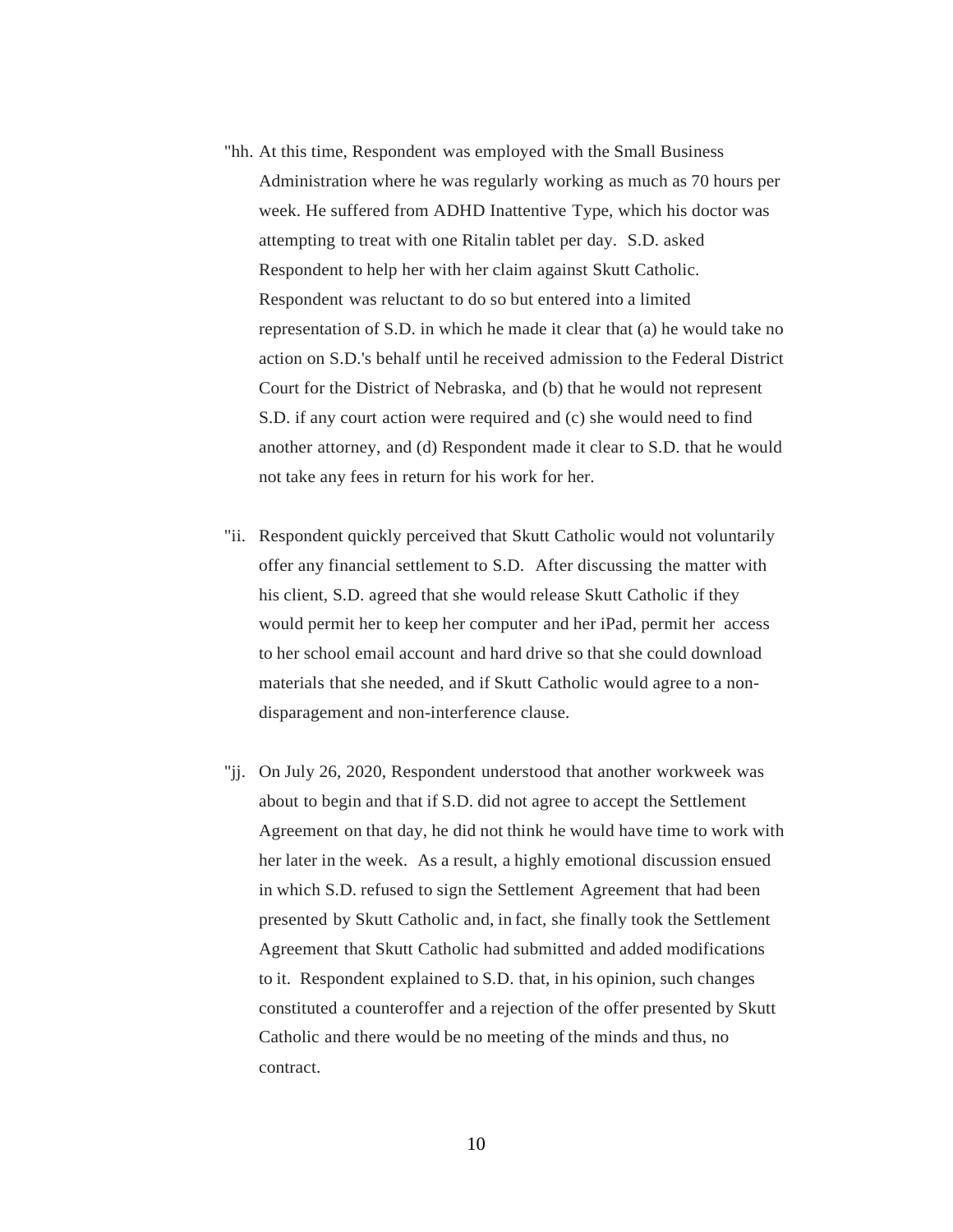- "hh. At this time, Respondent was employed with the Small Business Administration where he was regularly working as much as 70 hours per week. He suffered from ADHD Inattentive Type, which his doctor was attempting to treat with one Ritalin tablet per day. S.D. asked Respondent to help her with her claim against Skutt Catholic. Respondent was reluctant to do so but entered into a limited representation of S.D. in which he made it clear that (a) he would take no action on S.D.'s behalf until he received admission to the Federal District Court for the District of Nebraska, and (b) that he would not represent S.D. if any court action were required and (c) she would need to find another attorney, and (d) Respondent made it clear to S.D. that he would not take any fees in return for his work for her.
- "ii. Respondent quickly perceived that Skutt Catholic would not voluntarily offer any financial settlement to S.D. After discussing the matter with his client, S.D. agreed that she would release Skutt Catholic if they would permit her to keep her computer and her iPad, permit her access to her school email account and hard drive so that she could download materials that she needed, and if Skutt Catholic would agree to a nondisparagement and non-interference clause.
- "jj. On July 26, 2020, Respondent understood that another workweek was about to begin and that if S.D. did not agree to accept the Settlement Agreement on that day, he did not think he would have time to work with her later in the week. As a result, a highly emotional discussion ensued in which S.D. refused to sign the Settlement Agreement that had been presented by Skutt Catholic and, in fact, she finally took the Settlement Agreement that Skutt Catholic had submitted and added modifications to it. Respondent explained to S.D. that, in his opinion, such changes constituted a counteroffer and a rejection of the offer presented by Skutt Catholic and there would be no meeting of the minds and thus, no contract.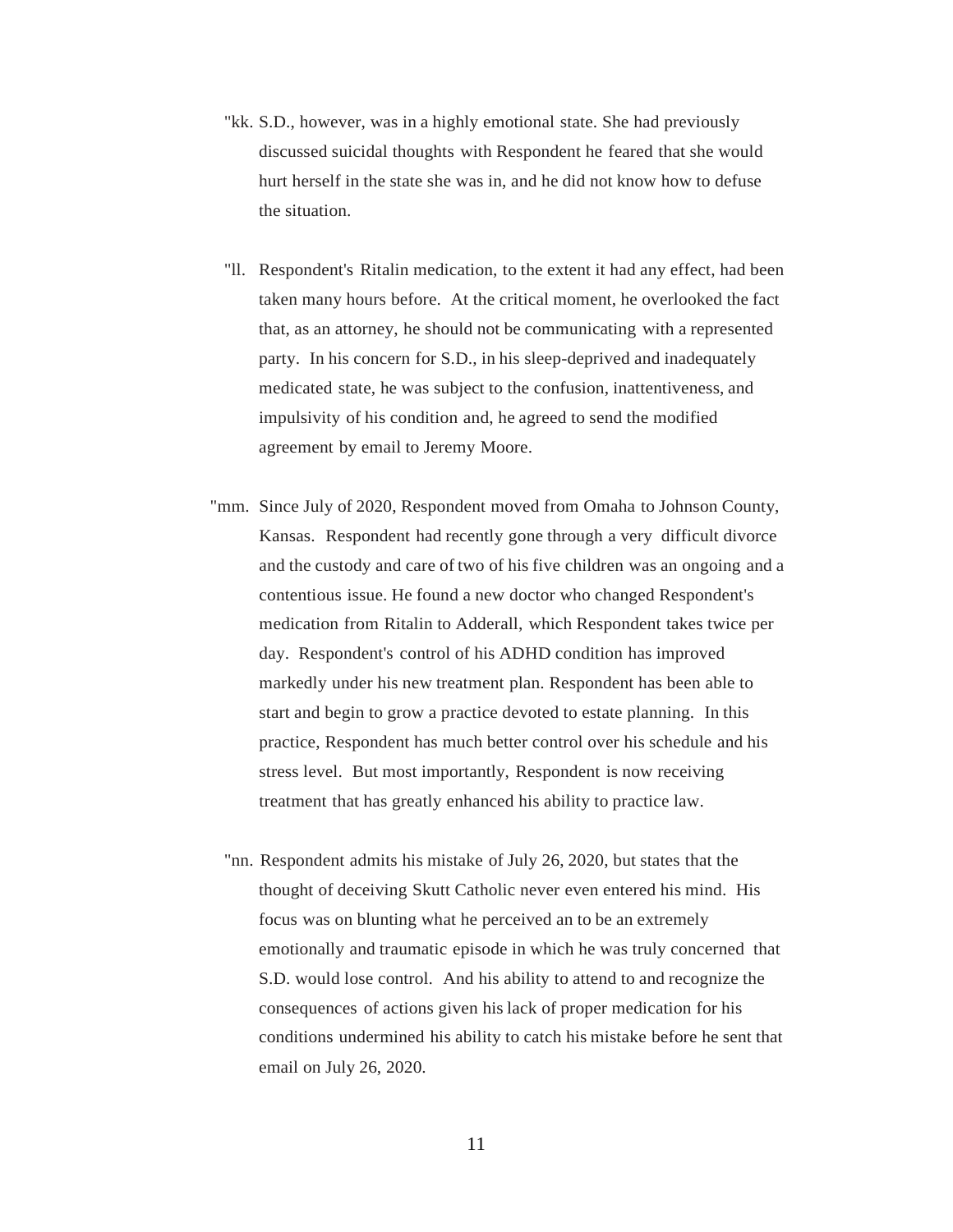- "kk. S.D., however, was in a highly emotional state. She had previously discussed suicidal thoughts with Respondent he feared that she would hurt herself in the state she was in, and he did not know how to defuse the situation.
- "ll. Respondent's Ritalin medication, to the extent it had any effect, had been taken many hours before. At the critical moment, he overlooked the fact that, as an attorney, he should not be communicating with a represented party. In his concern for S.D., in his sleep-deprived and inadequately medicated state, he was subject to the confusion, inattentiveness, and impulsivity of his condition and, he agreed to send the modified agreement by email to Jeremy Moore.
- "mm. Since July of 2020, Respondent moved from Omaha to Johnson County, Kansas. Respondent had recently gone through a very difficult divorce and the custody and care of two of his five children was an ongoing and a contentious issue. He found a new doctor who changed Respondent's medication from Ritalin to Adderall, which Respondent takes twice per day. Respondent's control of his ADHD condition has improved markedly under his new treatment plan. Respondent has been able to start and begin to grow a practice devoted to estate planning. In this practice, Respondent has much better control over his schedule and his stress level. But most importantly, Respondent is now receiving treatment that has greatly enhanced his ability to practice law.
	- "nn. Respondent admits his mistake of July 26, 2020, but states that the thought of deceiving Skutt Catholic never even entered his mind. His focus was on blunting what he perceived an to be an extremely emotionally and traumatic episode in which he was truly concerned that S.D. would lose control. And his ability to attend to and recognize the consequences of actions given his lack of proper medication for his conditions undermined his ability to catch his mistake before he sent that email on July 26, 2020.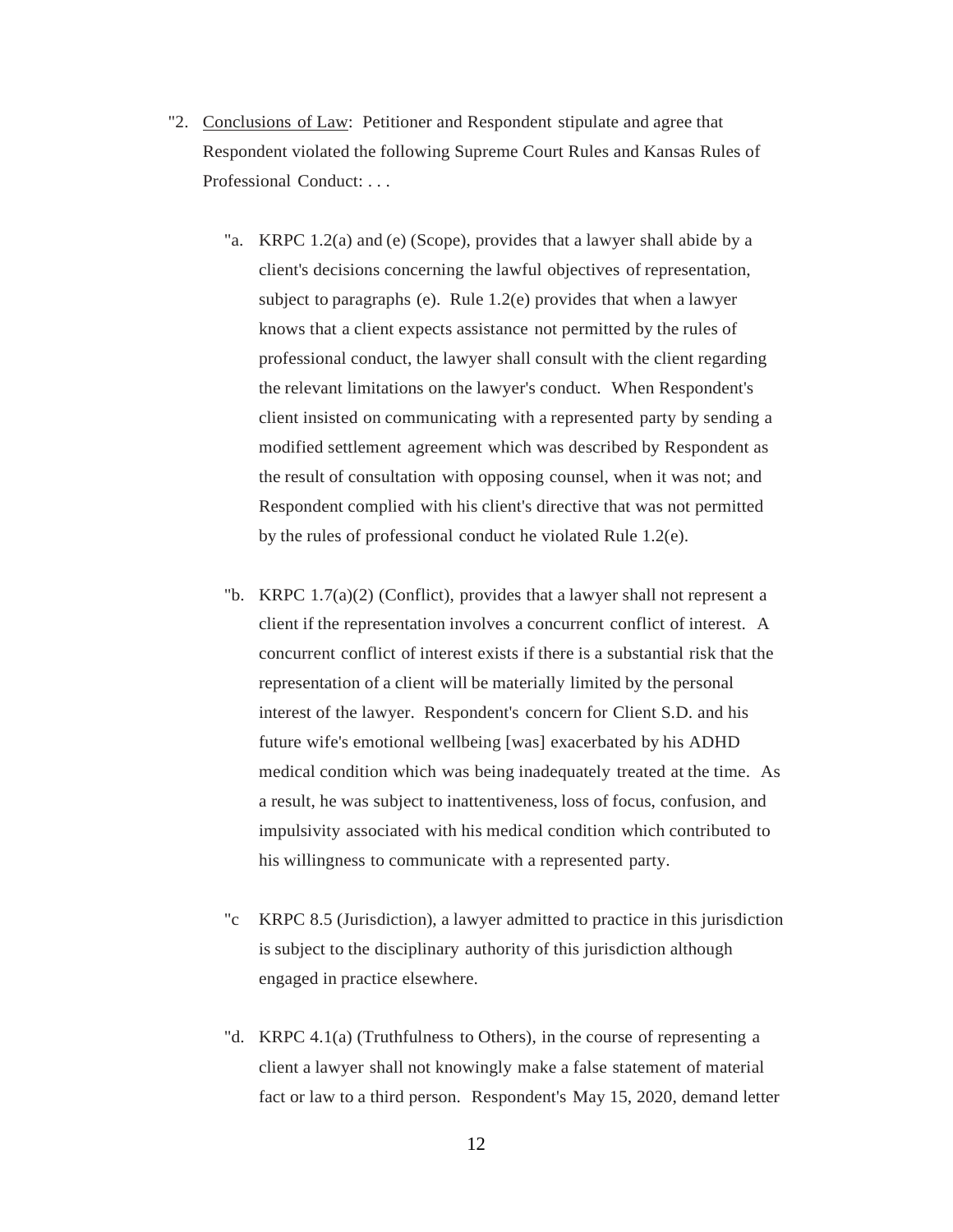- "2. Conclusions of Law: Petitioner and Respondent stipulate and agree that Respondent violated the following Supreme Court Rules and Kansas Rules of Professional Conduct: . . .
	- "a. KRPC 1.2(a) and (e) (Scope), provides that a lawyer shall abide by a client's decisions concerning the lawful objectives of representation, subject to paragraphs (e). Rule 1.2(e) provides that when a lawyer knows that a client expects assistance not permitted by the rules of professional conduct, the lawyer shall consult with the client regarding the relevant limitations on the lawyer's conduct. When Respondent's client insisted on communicating with a represented party by sending a modified settlement agreement which was described by Respondent as the result of consultation with opposing counsel, when it was not; and Respondent complied with his client's directive that was not permitted by the rules of professional conduct he violated Rule 1.2(e).
	- "b. KRPC  $1.7(a)(2)$  (Conflict), provides that a lawyer shall not represent a client if the representation involves a concurrent conflict of interest. A concurrent conflict of interest exists if there is a substantial risk that the representation of a client will be materially limited by the personal interest of the lawyer. Respondent's concern for Client S.D. and his future wife's emotional wellbeing [was] exacerbated by his ADHD medical condition which was being inadequately treated at the time. As a result, he was subject to inattentiveness, loss of focus, confusion, and impulsivity associated with his medical condition which contributed to his willingness to communicate with a represented party.
	- "c KRPC 8.5 (Jurisdiction), a lawyer admitted to practice in this jurisdiction is subject to the disciplinary authority of this jurisdiction although engaged in practice elsewhere.
	- "d. KRPC 4.1(a) (Truthfulness to Others), in the course of representing a client a lawyer shall not knowingly make a false statement of material fact or law to a third person. Respondent's May 15, 2020, demand letter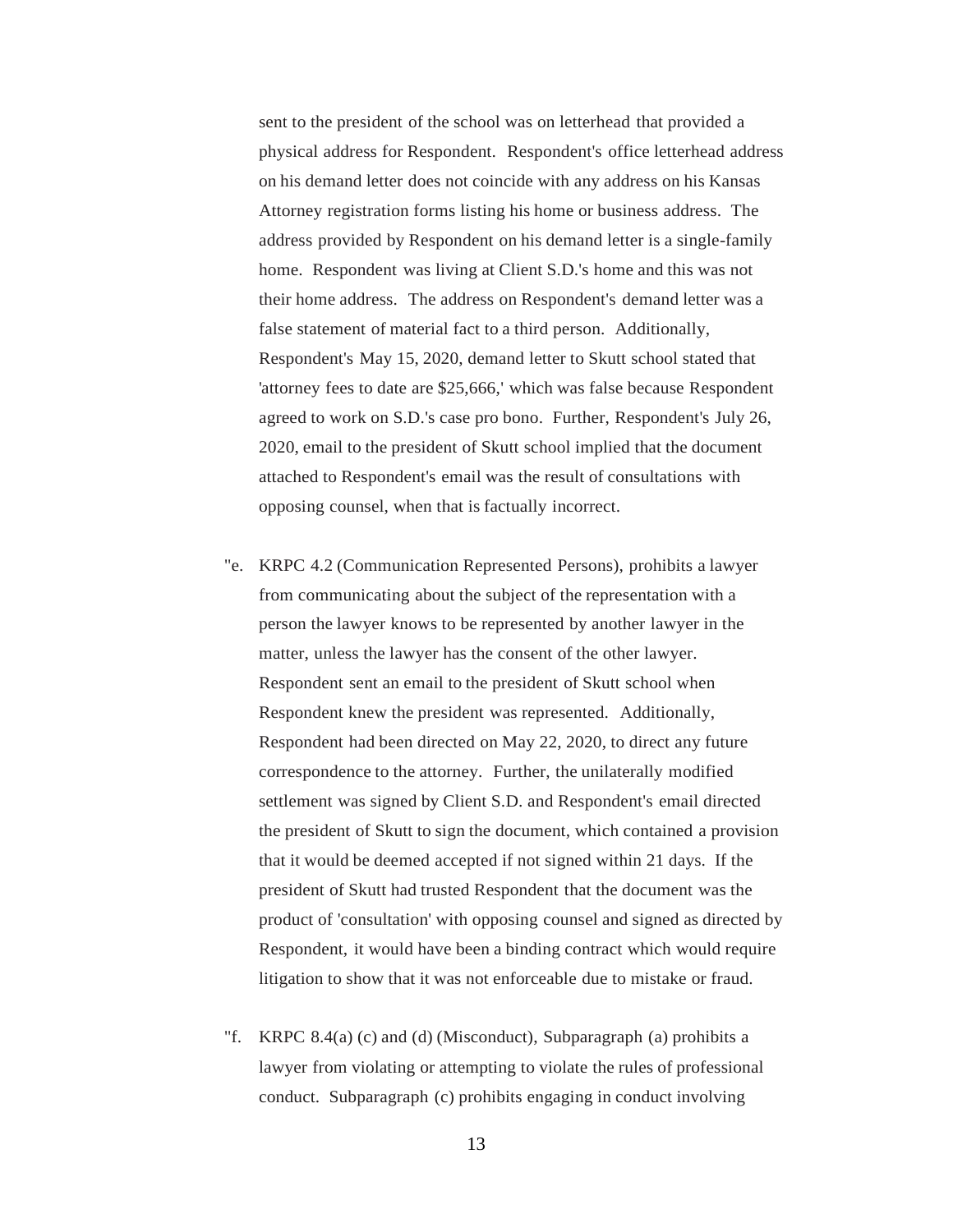sent to the president of the school was on letterhead that provided a physical address for Respondent. Respondent's office letterhead address on his demand letter does not coincide with any address on his Kansas Attorney registration forms listing his home or business address. The address provided by Respondent on his demand letter is a single-family home. Respondent was living at Client S.D.'s home and this was not their home address. The address on Respondent's demand letter was a false statement of material fact to a third person. Additionally, Respondent's May 15, 2020, demand letter to Skutt school stated that 'attorney fees to date are \$25,666,' which was false because Respondent agreed to work on S.D.'s case pro bono. Further, Respondent's July 26, 2020, email to the president of Skutt school implied that the document attached to Respondent's email was the result of consultations with opposing counsel, when that is factually incorrect.

- "e. KRPC 4.2 (Communication Represented Persons), prohibits a lawyer from communicating about the subject of the representation with a person the lawyer knows to be represented by another lawyer in the matter, unless the lawyer has the consent of the other lawyer. Respondent sent an email to the president of Skutt school when Respondent knew the president was represented. Additionally, Respondent had been directed on May 22, 2020, to direct any future correspondence to the attorney. Further, the unilaterally modified settlement was signed by Client S.D. and Respondent's email directed the president of Skutt to sign the document, which contained a provision that it would be deemed accepted if not signed within 21 days. If the president of Skutt had trusted Respondent that the document was the product of 'consultation' with opposing counsel and signed as directed by Respondent, it would have been a binding contract which would require litigation to show that it was not enforceable due to mistake or fraud.
- "f. KRPC 8.4(a) (c) and (d) (Misconduct), Subparagraph (a) prohibits a lawyer from violating or attempting to violate the rules of professional conduct. Subparagraph (c) prohibits engaging in conduct involving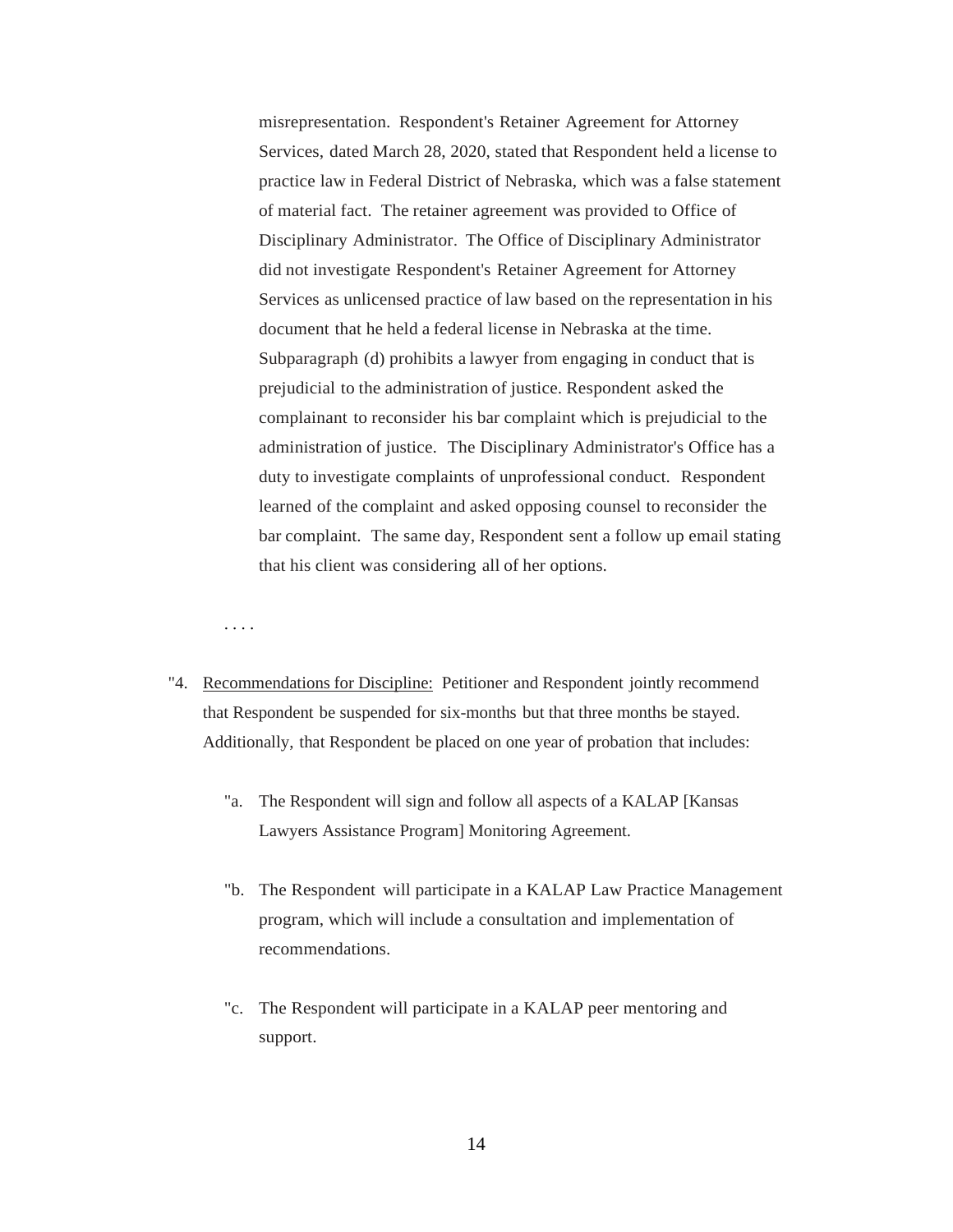misrepresentation. Respondent's Retainer Agreement for Attorney Services, dated March 28, 2020, stated that Respondent held a license to practice law in Federal District of Nebraska, which was a false statement of material fact. The retainer agreement was provided to Office of Disciplinary Administrator. The Office of Disciplinary Administrator did not investigate Respondent's Retainer Agreement for Attorney Services as unlicensed practice of law based on the representation in his document that he held a federal license in Nebraska at the time. Subparagraph (d) prohibits a lawyer from engaging in conduct that is prejudicial to the administration of justice. Respondent asked the complainant to reconsider his bar complaint which is prejudicial to the administration of justice. The Disciplinary Administrator's Office has a duty to investigate complaints of unprofessional conduct. Respondent learned of the complaint and asked opposing counsel to reconsider the bar complaint. The same day, Respondent sent a follow up email stating that his client was considering all of her options.

. . . .

- "4. Recommendations for Discipline: Petitioner and Respondent jointly recommend that Respondent be suspended for six-months but that three months be stayed. Additionally, that Respondent be placed on one year of probation that includes:
	- "a. The Respondent will sign and follow all aspects of a KALAP [Kansas Lawyers Assistance Program] Monitoring Agreement.
	- "b. The Respondent will participate in a KALAP Law Practice Management program, which will include a consultation and implementation of recommendations.
	- "c. The Respondent will participate in a KALAP peer mentoring and support.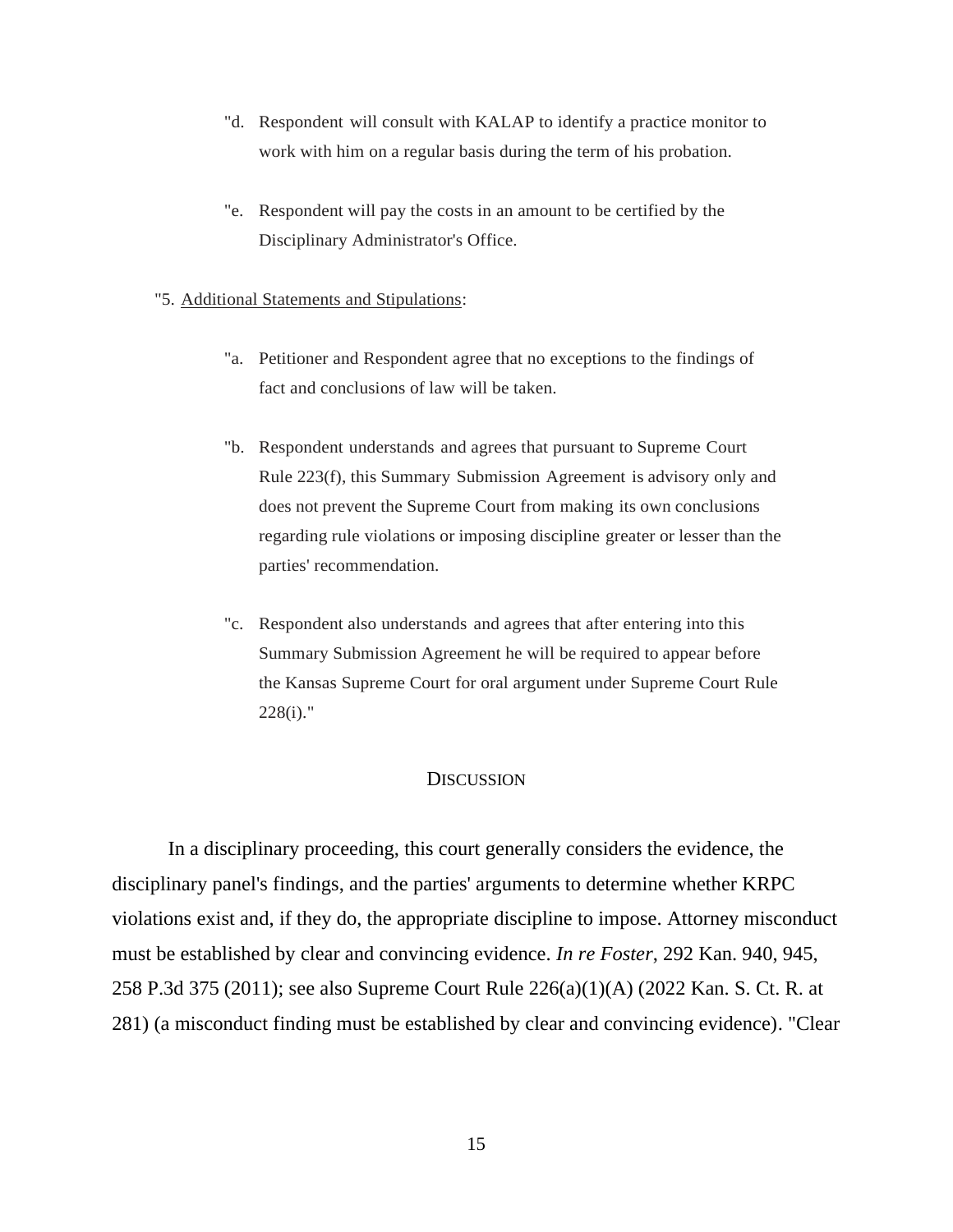- "d. Respondent will consult with KALAP to identify a practice monitor to work with him on a regular basis during the term of his probation.
- "e. Respondent will pay the costs in an amount to be certified by the Disciplinary Administrator's Office.
- "5. Additional Statements and Stipulations:
	- "a. Petitioner and Respondent agree that no exceptions to the findings of fact and conclusions of law will be taken.
	- "b. Respondent understands and agrees that pursuant to Supreme Court Rule 223(f), this Summary Submission Agreement is advisory only and does not prevent the Supreme Court from making its own conclusions regarding rule violations or imposing discipline greater or lesser than the parties' recommendation.
	- "c. Respondent also understands and agrees that after entering into this Summary Submission Agreement he will be required to appear before the Kansas Supreme Court for oral argument under Supreme Court Rule 228(i)."

# **DISCUSSION**

In a disciplinary proceeding, this court generally considers the evidence, the disciplinary panel's findings, and the parties' arguments to determine whether KRPC violations exist and, if they do, the appropriate discipline to impose. Attorney misconduct must be established by clear and convincing evidence. *In re Foster*, 292 Kan. 940, 945, 258 P.3d 375 (2011); see also Supreme Court Rule 226(a)(1)(A) (2022 Kan. S. Ct. R. at 281) (a misconduct finding must be established by clear and convincing evidence). "Clear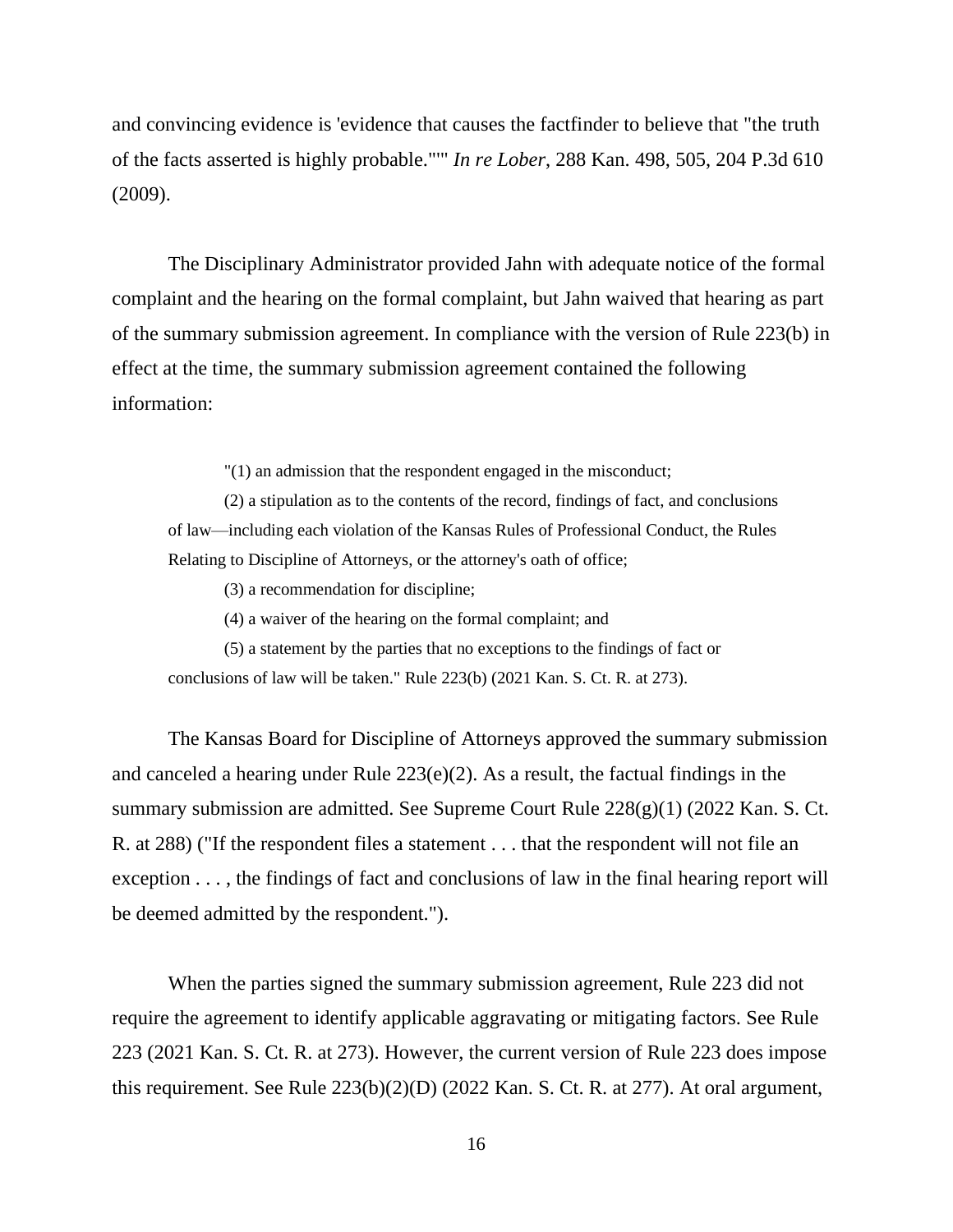and convincing evidence is 'evidence that causes the factfinder to believe that "the truth of the facts asserted is highly probable."'" *In re Lober*, 288 Kan. 498, 505, 204 P.3d 610 (2009).

The Disciplinary Administrator provided Jahn with adequate notice of the formal complaint and the hearing on the formal complaint, but Jahn waived that hearing as part of the summary submission agreement. In compliance with the version of Rule 223(b) in effect at the time, the summary submission agreement contained the following information:

"(1) an admission that the respondent engaged in the misconduct;

(2) a stipulation as to the contents of the record, findings of fact, and conclusions of law—including each violation of the Kansas Rules of Professional Conduct, the Rules Relating to Discipline of Attorneys, or the attorney's oath of office;

(3) a recommendation for discipline;

(4) a waiver of the hearing on the formal complaint; and

(5) a statement by the parties that no exceptions to the findings of fact or conclusions of law will be taken." Rule 223(b) (2021 Kan. S. Ct. R. at 273).

The Kansas Board for Discipline of Attorneys approved the summary submission and canceled a hearing under Rule 223(e)(2). As a result, the factual findings in the summary submission are admitted. See Supreme Court Rule 228(g)(1) (2022 Kan. S. Ct. R. at 288) ("If the respondent files a statement . . . that the respondent will not file an exception . . . , the findings of fact and conclusions of law in the final hearing report will be deemed admitted by the respondent.").

When the parties signed the summary submission agreement, Rule 223 did not require the agreement to identify applicable aggravating or mitigating factors. See Rule 223 (2021 Kan. S. Ct. R. at 273). However, the current version of Rule 223 does impose this requirement. See Rule 223(b)(2)(D) (2022 Kan. S. Ct. R. at 277). At oral argument,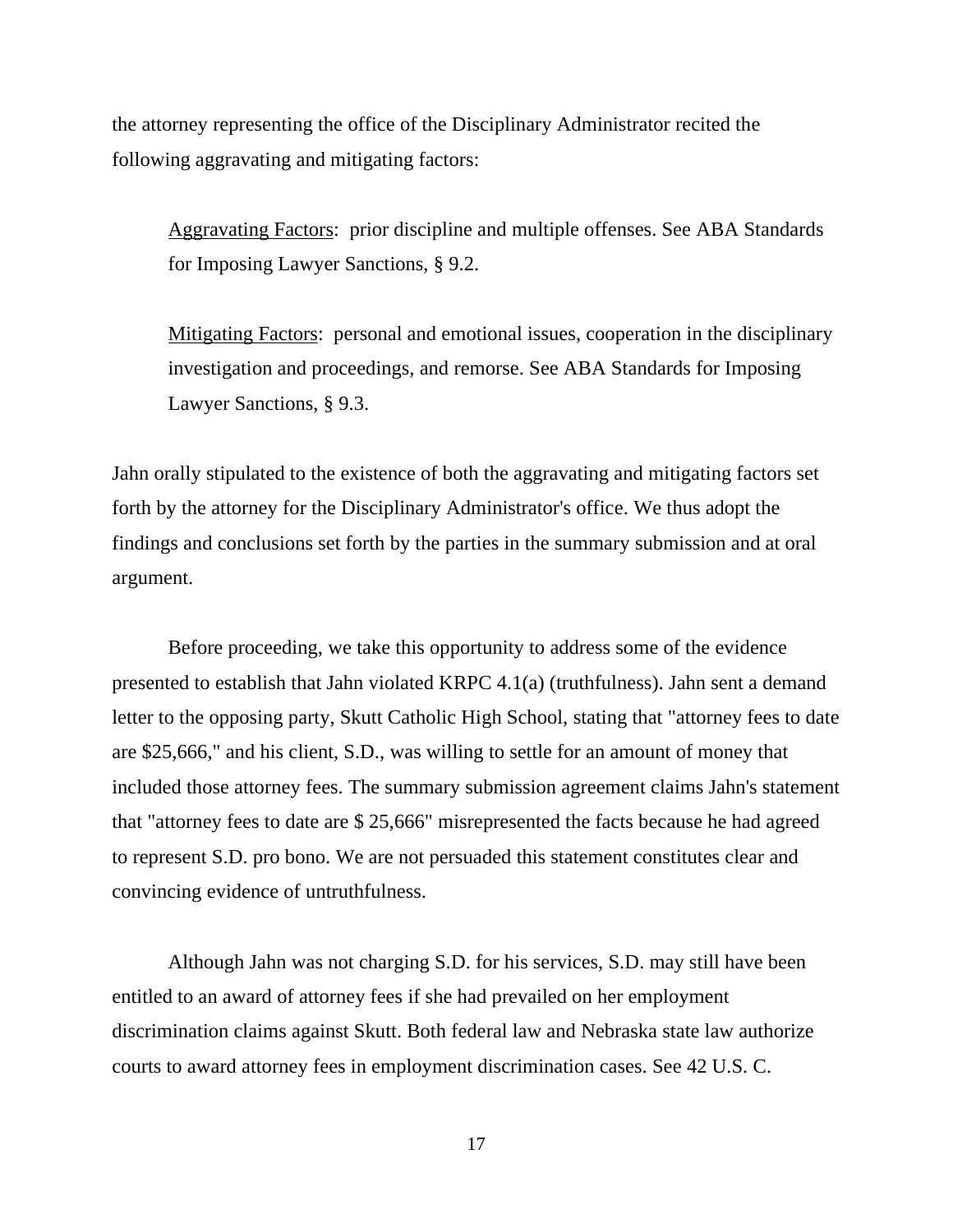the attorney representing the office of the Disciplinary Administrator recited the following aggravating and mitigating factors:

Aggravating Factors: prior discipline and multiple offenses. See ABA Standards for Imposing Lawyer Sanctions, § 9.2.

Mitigating Factors: personal and emotional issues, cooperation in the disciplinary investigation and proceedings, and remorse. See ABA Standards for Imposing Lawyer Sanctions, § 9.3.

Jahn orally stipulated to the existence of both the aggravating and mitigating factors set forth by the attorney for the Disciplinary Administrator's office. We thus adopt the findings and conclusions set forth by the parties in the summary submission and at oral argument.

Before proceeding, we take this opportunity to address some of the evidence presented to establish that Jahn violated KRPC 4.1(a) (truthfulness). Jahn sent a demand letter to the opposing party, Skutt Catholic High School, stating that "attorney fees to date are \$25,666," and his client, S.D., was willing to settle for an amount of money that included those attorney fees. The summary submission agreement claims Jahn's statement that "attorney fees to date are \$ 25,666" misrepresented the facts because he had agreed to represent S.D. pro bono. We are not persuaded this statement constitutes clear and convincing evidence of untruthfulness.

Although Jahn was not charging S.D. for his services, S.D. may still have been entitled to an award of attorney fees if she had prevailed on her employment discrimination claims against Skutt. Both federal law and Nebraska state law authorize courts to award attorney fees in employment discrimination cases. See 42 U.S. C.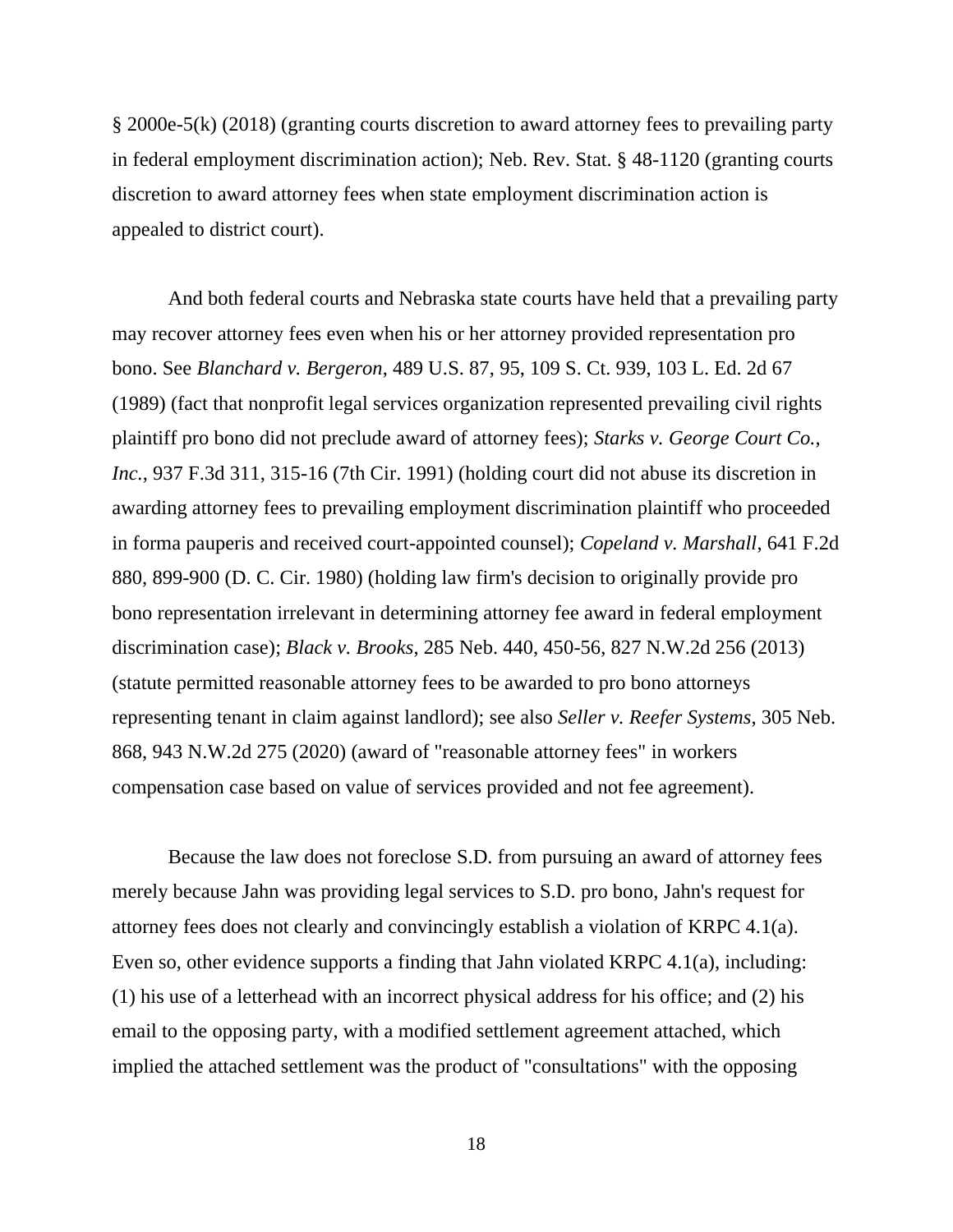§ 2000e-5(k) (2018) (granting courts discretion to award attorney fees to prevailing party in federal employment discrimination action); Neb. Rev. Stat. § 48-1120 (granting courts discretion to award attorney fees when state employment discrimination action is appealed to district court).

And both federal courts and Nebraska state courts have held that a prevailing party may recover attorney fees even when his or her attorney provided representation pro bono. See *Blanchard v. Bergeron*, 489 U.S. 87, 95, 109 S. Ct. 939, 103 L. Ed. 2d 67 (1989) (fact that nonprofit legal services organization represented prevailing civil rights plaintiff pro bono did not preclude award of attorney fees); *Starks v. George Court Co., Inc.*, 937 F.3d 311, 315-16 (7th Cir. 1991) (holding court did not abuse its discretion in awarding attorney fees to prevailing employment discrimination plaintiff who proceeded in forma pauperis and received court-appointed counsel); *Copeland v. Marshall*, 641 F.2d 880, 899-900 (D. C. Cir. 1980) (holding law firm's decision to originally provide pro bono representation irrelevant in determining attorney fee award in federal employment discrimination case); *Black v. Brooks*, 285 Neb. 440, 450-56, 827 N.W.2d 256 (2013) (statute permitted reasonable attorney fees to be awarded to pro bono attorneys representing tenant in claim against landlord); see also *Seller v. Reefer Systems*, 305 Neb. 868, 943 N.W.2d 275 (2020) (award of "reasonable attorney fees" in workers compensation case based on value of services provided and not fee agreement).

Because the law does not foreclose S.D. from pursuing an award of attorney fees merely because Jahn was providing legal services to S.D. pro bono, Jahn's request for attorney fees does not clearly and convincingly establish a violation of KRPC 4.1(a). Even so, other evidence supports a finding that Jahn violated KRPC 4.1(a), including: (1) his use of a letterhead with an incorrect physical address for his office; and (2) his email to the opposing party, with a modified settlement agreement attached, which implied the attached settlement was the product of "consultations" with the opposing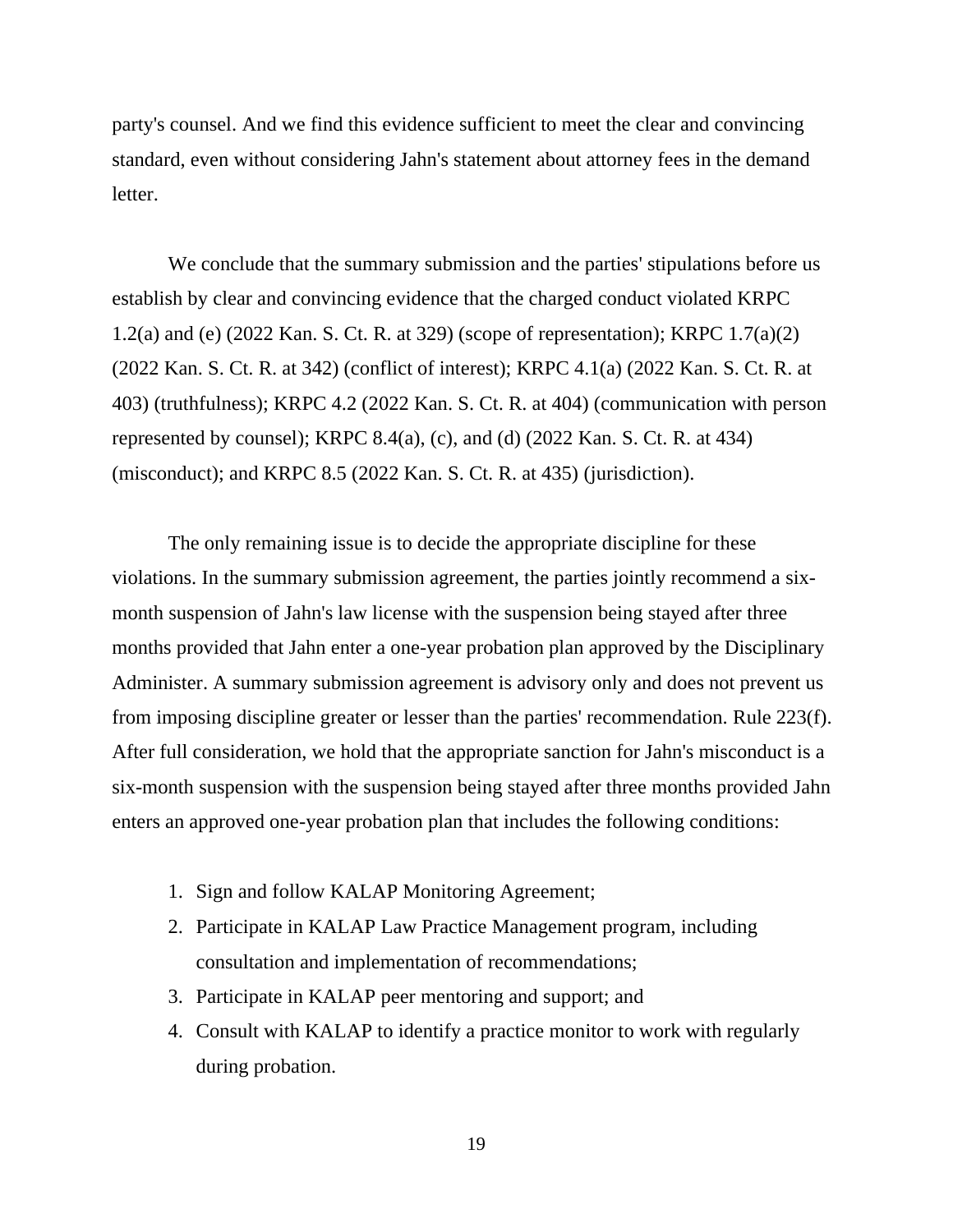party's counsel. And we find this evidence sufficient to meet the clear and convincing standard, even without considering Jahn's statement about attorney fees in the demand letter.

We conclude that the summary submission and the parties' stipulations before us establish by clear and convincing evidence that the charged conduct violated KRPC 1.2(a) and (e) (2022 Kan. S. Ct. R. at 329) (scope of representation); KRPC 1.7(a)(2) (2022 Kan. S. Ct. R. at 342) (conflict of interest); KRPC 4.1(a) (2022 Kan. S. Ct. R. at 403) (truthfulness); KRPC 4.2 (2022 Kan. S. Ct. R. at 404) (communication with person represented by counsel); KRPC 8.4(a), (c), and (d)  $(2022 \text{ Kan. S. Ct. R. at } 434)$ (misconduct); and KRPC 8.5 (2022 Kan. S. Ct. R. at 435) (jurisdiction).

The only remaining issue is to decide the appropriate discipline for these violations. In the summary submission agreement, the parties jointly recommend a sixmonth suspension of Jahn's law license with the suspension being stayed after three months provided that Jahn enter a one-year probation plan approved by the Disciplinary Administer. A summary submission agreement is advisory only and does not prevent us from imposing discipline greater or lesser than the parties' recommendation. Rule 223(f). After full consideration, we hold that the appropriate sanction for Jahn's misconduct is a six-month suspension with the suspension being stayed after three months provided Jahn enters an approved one-year probation plan that includes the following conditions:

- 1. Sign and follow KALAP Monitoring Agreement;
- 2. Participate in KALAP Law Practice Management program, including consultation and implementation of recommendations;
- 3. Participate in KALAP peer mentoring and support; and
- 4. Consult with KALAP to identify a practice monitor to work with regularly during probation.